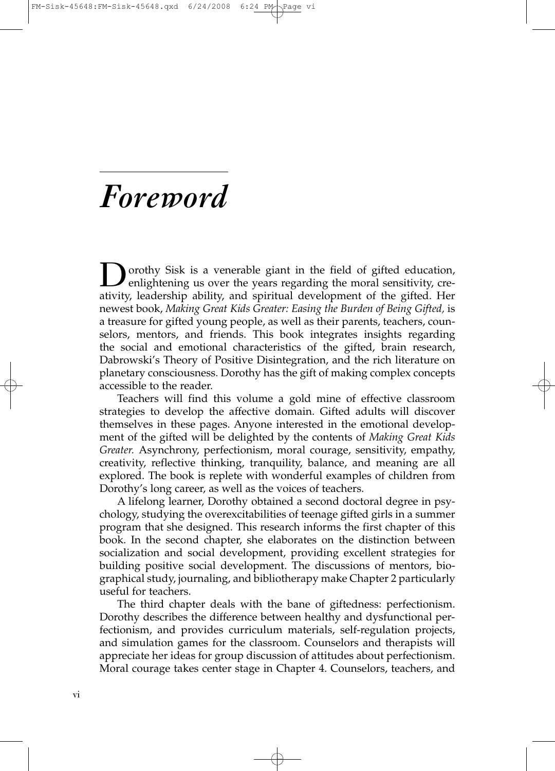## *Foreword*

**D**orothy Sisk is a venerable giant in the field of gifted education, enlightening us over the years regarding the moral sensitivity, creativity, leadership ability, and spiritual development of the gifted. Her newest book, *Making Great Kids Greater: Easing the Burden of Being Gifted,* is a treasure for gifted young people, as well as their parents, teachers, counselors, mentors, and friends. This book integrates insights regarding the social and emotional characteristics of the gifted, brain research, Dabrowski's Theory of Positive Disintegration, and the rich literature on planetary consciousness. Dorothy has the gift of making complex concepts accessible to the reader.

Teachers will find this volume a gold mine of effective classroom strategies to develop the affective domain. Gifted adults will discover themselves in these pages. Anyone interested in the emotional development of the gifted will be delighted by the contents of *Making Great Kids Greater.* Asynchrony, perfectionism, moral courage, sensitivity, empathy, creativity, reflective thinking, tranquility, balance, and meaning are all explored. The book is replete with wonderful examples of children from Dorothy's long career, as well as the voices of teachers.

A lifelong learner, Dorothy obtained a second doctoral degree in psychology, studying the overexcitabilities of teenage gifted girls in a summer program that she designed. This research informs the first chapter of this book. In the second chapter, she elaborates on the distinction between socialization and social development, providing excellent strategies for building positive social development. The discussions of mentors, biographical study, journaling, and bibliotherapy make Chapter 2 particularly useful for teachers.

The third chapter deals with the bane of giftedness: perfectionism. Dorothy describes the difference between healthy and dysfunctional perfectionism, and provides curriculum materials, self-regulation projects, and simulation games for the classroom. Counselors and therapists will appreciate her ideas for group discussion of attitudes about perfectionism. Moral courage takes center stage in Chapter 4. Counselors, teachers, and